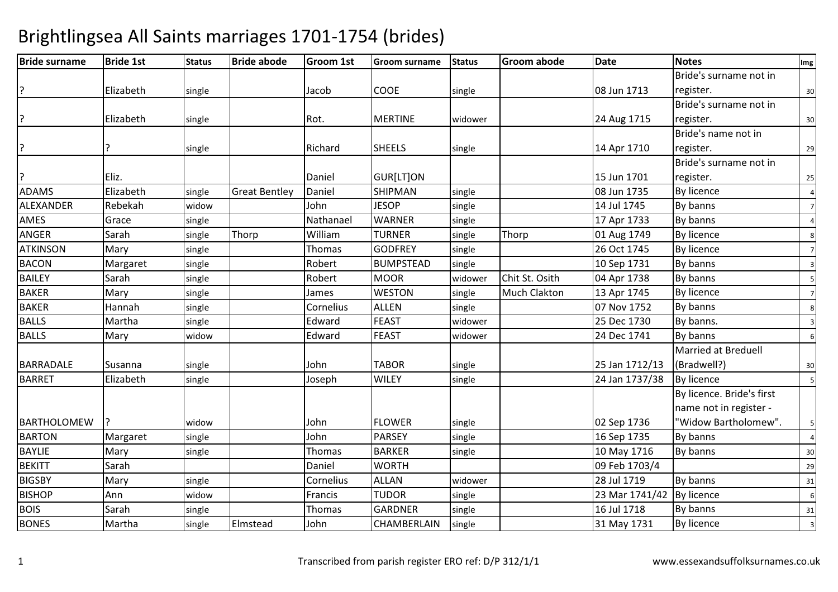### Bride surname Bride 1st Status Bride abode Groom 1st Groom surname Status Groom abode Date Notes Img **Elizabeth** h single Jacob COOE single 108 Jun 1713 Bride's surname not in register. $\overline{\phantom{0}}$  30 **Elizabeth** h single Rot. MERTINE widower 24 Aug 1715 Bride's surname not in register. $\sim$  30 ? ?P 314 Apr 1710 Bride's name not in register. <sup>29</sup>? Eliz.. | | |Daniel |GUR[LT]ON | |15 Jun 1701 08 Jun 1735 Bride's surname not in register. <sup>25</sup>ADAMS Elizabethsingle Great Bentley Daniel SHIPMAN<br>widow John JESOP N single 1 08 Jun 1735 By licence 4 ALEXANDER Rebekah widoww John JESOP single 14 Jul 1745 By banns 7 AMES Gracee single Nathanael WARNER R single 17 Apr 1733 By banns 4 ANGERR Sarah Sarah Single Thorp William m TURNER single Thorp 01 Aug 1749 By licence 8<br>Account of the Second Second Second Second Second Second Second Second Second Second Second Second Second Second Second Second Second Second Second Second Second Second Second ATKINSONN Mary single Thomas GODFREY single 26 Oct 1745 By licence 7 **BACON** N Margaret single Robert BUMPSTEAD single 10 Sep 1731 By banns 3 BAILEY Sarahh single Robert MOOR R Widower Chit St. Osith 04 Apr 1738 By banns 5 BAKERR Mary single James WESTON N single Much Clakton 13 Apr 1745 By licence 7 BAKERR Mannah single Cornelius ALLEN N single 1 07 Nov 1752 By banns 8 BALLS Marthaa single Edward d FEAST widower 25 Dec 1730 By banns. BALLSS Mary widow w Edward FEAST widower 24 Dec 1741 By banns 6 BARRADALE Susanna a single John TABOR TABOR Single 25 Jan 1712/13<br>WILEY Single 24 Jan 1737/38 Married at Breduell (Bradwell?) $\frac{30}{2}$ BARRET Elizabethh single Joseph WILEY single 24 Jan 1737/38 By licence 5 **BARTHOLOMEW**  widoww John FLOWER single 2 Sep 1736 By licence. Bride's first name not in register - "Widow Bartholomew".. | 5 **BARTON** N Margaret single John PARSEY single 16 Sep 1735 By banns 4 BAYLIEE Mary single Thomas BARKER R single 10 May 1716 By banns 30 BEKITT Sarahh Daniel WORTH H 09 Feb 1703/4 29 **BIGSBY** Y Mary single Cornelius ALLAN N Widower 28 Jul 1719 By banns 31 BISHOPP Ann widow w Francis TUDOR single 23 Mar 1741/42 By licence 6 BOIS Sarahh single Thomas GARDNER R | single | 16 Jul 1718 | By banns | 31 BONES Marthasingle **Elmstead**  John CHAMBERLAINN Single 2012 31 May 1731 By licence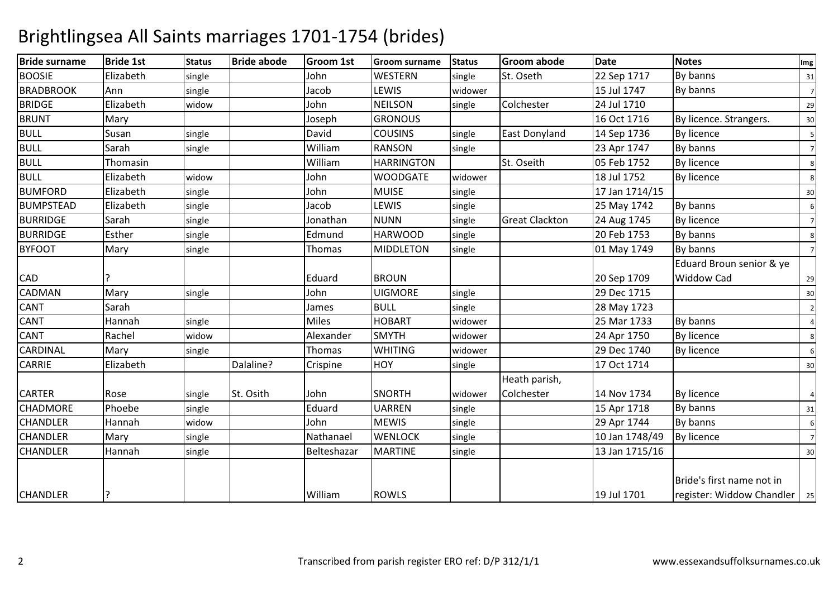| <b>Bride surname</b> | <b>Bride 1st</b> | <b>Status</b> | <b>Bride abode</b> | Groom 1st   | <b>Groom surname</b> | <b>Status</b> | <b>Groom abode</b>    | <b>Date</b>    | <b>Notes</b>                   | Img             |
|----------------------|------------------|---------------|--------------------|-------------|----------------------|---------------|-----------------------|----------------|--------------------------------|-----------------|
| <b>BOOSIE</b>        | Elizabeth        | single        |                    | John        | <b>WESTERN</b>       | single        | St. Oseth             | 22 Sep 1717    | By banns                       | 31              |
| <b>BRADBROOK</b>     | Ann              | single        |                    | Jacob       | LEWIS                | widower       |                       | 15 Jul 1747    | By banns                       | $7\overline{ }$ |
| <b>BRIDGE</b>        | Elizabeth        | widow         |                    | John        | <b>NEILSON</b>       | single        | Colchester            | 24 Jul 1710    |                                | 29              |
| <b>BRUNT</b>         | Mary             |               |                    | Joseph      | <b>GRONOUS</b>       |               |                       | 16 Oct 1716    | By licence. Strangers.         | 30              |
| <b>BULL</b>          | Susan            | single        |                    | David       | <b>COUSINS</b>       | single        | <b>East Donyland</b>  | 14 Sep 1736    | By licence                     | -51             |
| <b>BULL</b>          | Sarah            | single        |                    | William     | <b>RANSON</b>        | single        |                       | 23 Apr 1747    | By banns                       | $\overline{7}$  |
| <b>BULL</b>          | Thomasin         |               |                    | William     | <b>HARRINGTON</b>    |               | St. Oseith            | 05 Feb 1752    | By licence                     | 8               |
| <b>BULL</b>          | Elizabeth        | widow         |                    | John        | <b>WOODGATE</b>      | widower       |                       | 18 Jul 1752    | <b>By licence</b>              | 8               |
| <b>BUMFORD</b>       | Elizabeth        | single        |                    | John        | <b>MUISE</b>         | single        |                       | 17 Jan 1714/15 |                                | 30              |
| <b>BUMPSTEAD</b>     | Elizabeth        | single        |                    | Jacob       | LEWIS                | single        |                       | 25 May 1742    | By banns                       | 6               |
| <b>BURRIDGE</b>      | Sarah            | single        |                    | Jonathan    | <b>NUNN</b>          | single        | <b>Great Clackton</b> | 24 Aug 1745    | <b>By licence</b>              | $\overline{7}$  |
| <b>BURRIDGE</b>      | Esther           | single        |                    | Edmund      | <b>HARWOOD</b>       | single        |                       | 20 Feb 1753    | By banns                       | 8               |
| <b>BYFOOT</b>        | Mary             | single        |                    | Thomas      | <b>MIDDLETON</b>     | single        |                       | 01 May 1749    | By banns                       | $\overline{7}$  |
|                      |                  |               |                    |             |                      |               |                       |                | Eduard Broun senior & ye       |                 |
| <b>CAD</b>           |                  |               |                    | Eduard      | <b>BROUN</b>         |               |                       | 20 Sep 1709    | <b>Widdow Cad</b>              | 29              |
| <b>CADMAN</b>        | Mary             | single        |                    | John        | <b>UIGMORE</b>       | single        |                       | 29 Dec 1715    |                                | 30              |
| <b>CANT</b>          | Sarah            |               |                    | James       | <b>BULL</b>          | single        |                       | 28 May 1723    |                                | $\overline{2}$  |
| <b>CANT</b>          | Hannah           | single        |                    | Miles       | <b>HOBART</b>        | widower       |                       | 25 Mar 1733    | By banns                       | $\overline{4}$  |
| <b>CANT</b>          | Rachel           | widow         |                    | Alexander   | <b>SMYTH</b>         | widower       |                       | 24 Apr 1750    | <b>By licence</b>              | 8               |
| <b>CARDINAL</b>      | Mary             | single        |                    | Thomas      | <b>WHITING</b>       | widower       |                       | 29 Dec 1740    | <b>By licence</b>              | 6               |
| <b>CARRIE</b>        | Elizabeth        |               | Dalaline?          | Crispine    | HOY                  | single        |                       | 17 Oct 1714    |                                | 30              |
|                      |                  |               |                    |             |                      |               | Heath parish,         |                |                                |                 |
| <b>CARTER</b>        | Rose             | single        | St. Osith          | John        | <b>SNORTH</b>        | widower       | Colchester            | 14 Nov 1734    | By licence                     | $\overline{4}$  |
| <b>CHADMORE</b>      | Phoebe           | single        |                    | Eduard      | <b>UARREN</b>        | single        |                       | 15 Apr 1718    | By banns                       | 31              |
| <b>CHANDLER</b>      | Hannah           | widow         |                    | John        | <b>MEWIS</b>         | single        |                       | 29 Apr 1744    | By banns                       | 6               |
| <b>CHANDLER</b>      | Mary             | single        |                    | Nathanael   | <b>WENLOCK</b>       | single        |                       | 10 Jan 1748/49 | <b>By licence</b>              | $7\overline{ }$ |
| <b>CHANDLER</b>      | Hannah           | single        |                    | Belteshazar | <b>MARTINE</b>       | single        |                       | 13 Jan 1715/16 |                                | 30              |
|                      |                  |               |                    |             |                      |               |                       |                |                                |                 |
|                      |                  |               |                    |             |                      |               |                       |                | Bride's first name not in      |                 |
| <b>CHANDLER</b>      | ç.               |               |                    | William     | <b>ROWLS</b>         |               |                       | 19 Jul 1701    | register: Widdow Chandler   25 |                 |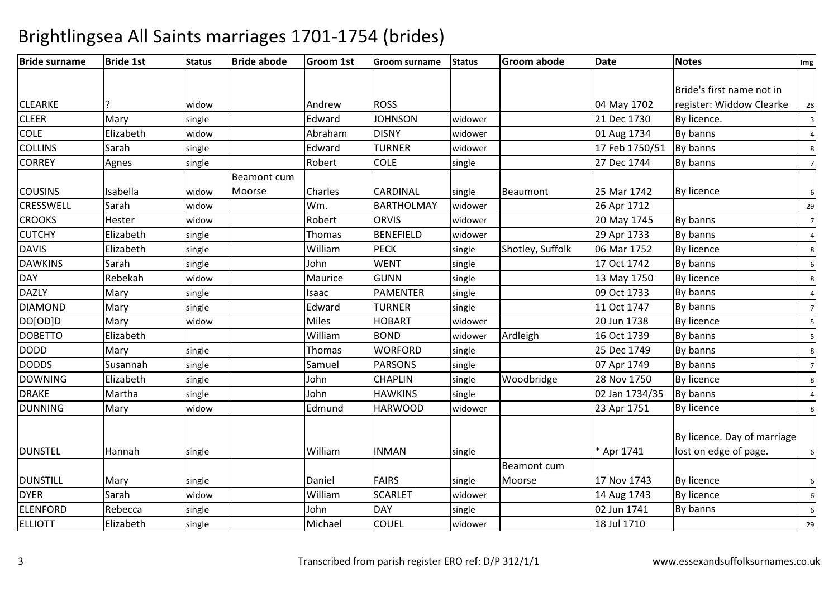| <b>Bride surname</b> | <b>Bride 1st</b> | <b>Status</b> | <b>Bride abode</b> | <b>Groom 1st</b> | <b>Groom surname</b> | <b>Status</b> | <b>Groom abode</b> | <b>Date</b>    | <b>Notes</b>                | Img            |
|----------------------|------------------|---------------|--------------------|------------------|----------------------|---------------|--------------------|----------------|-----------------------------|----------------|
|                      |                  |               |                    |                  |                      |               |                    |                |                             |                |
|                      |                  |               |                    |                  |                      |               |                    |                | Bride's first name not in   |                |
| <b>CLEARKE</b>       |                  | widow         |                    | Andrew           | <b>ROSS</b>          |               |                    | 04 May 1702    | register: Widdow Clearke    | 28             |
| <b>CLEER</b>         | Mary             | single        |                    | Edward           | <b>JOHNSON</b>       | widower       |                    | 21 Dec 1730    | By licence.                 | 3              |
| COLE                 | Elizabeth        | widow         |                    | Abraham          | <b>DISNY</b>         | widower       |                    | 01 Aug 1734    | By banns                    |                |
| <b>COLLINS</b>       | Sarah            | single        |                    | Edward           | <b>TURNER</b>        | widower       |                    | 17 Feb 1750/51 | By banns                    |                |
| <b>CORREY</b>        | Agnes            | single        |                    | Robert           | <b>COLE</b>          | single        |                    | 27 Dec 1744    | By banns                    | $\overline{7}$ |
|                      |                  |               | Beamont cum        |                  |                      |               |                    |                |                             |                |
| <b>COUSINS</b>       | Isabella         | widow         | Moorse             | Charles          | <b>CARDINAL</b>      | single        | Beaumont           | 25 Mar 1742    | By licence                  | 6              |
| <b>CRESSWELL</b>     | Sarah            | widow         |                    | Wm.              | <b>BARTHOLMAY</b>    | widower       |                    | 26 Apr 1712    |                             | 29             |
| <b>CROOKS</b>        | Hester           | widow         |                    | Robert           | <b>ORVIS</b>         | widower       |                    | 20 May 1745    | By banns                    | $\overline{7}$ |
| <b>CUTCHY</b>        | Elizabeth        | single        |                    | Thomas           | <b>BENEFIELD</b>     | widower       |                    | 29 Apr 1733    | By banns                    |                |
| <b>DAVIS</b>         | Elizabeth        | single        |                    | William          | <b>PECK</b>          | single        | Shotley, Suffolk   | 06 Mar 1752    | By licence                  |                |
| <b>DAWKINS</b>       | Sarah            | single        |                    | John             | <b>WENT</b>          | single        |                    | 17 Oct 1742    | By banns                    |                |
| <b>DAY</b>           | Rebekah          | widow         |                    | Maurice          | <b>GUNN</b>          | single        |                    | 13 May 1750    | <b>By licence</b>           |                |
| <b>DAZLY</b>         | Mary             | single        |                    | Isaac            | <b>PAMENTER</b>      | single        |                    | 09 Oct 1733    | By banns                    |                |
| <b>DIAMOND</b>       | Mary             | single        |                    | Edward           | TURNER               | single        |                    | 11 Oct 1747    | By banns                    |                |
| DO[OD]D              | Mary             | widow         |                    | <b>Miles</b>     | <b>HOBART</b>        | widower       |                    | 20 Jun 1738    | By licence                  |                |
| <b>DOBETTO</b>       | Elizabeth        |               |                    | William          | <b>BOND</b>          | widower       | Ardleigh           | 16 Oct 1739    | By banns                    |                |
| <b>DODD</b>          | Mary             | single        |                    | Thomas           | <b>WORFORD</b>       | single        |                    | 25 Dec 1749    | By banns                    | 8              |
| <b>DODDS</b>         | Susannah         | single        |                    | Samuel           | <b>PARSONS</b>       | single        |                    | 07 Apr 1749    | By banns                    |                |
| <b>DOWNING</b>       | Elizabeth        | single        |                    | John             | <b>CHAPLIN</b>       | single        | Woodbridge         | 28 Nov 1750    | By licence                  | 8              |
| <b>DRAKE</b>         | Martha           | single        |                    | John             | <b>HAWKINS</b>       | single        |                    | 02 Jan 1734/35 | By banns                    |                |
| <b>DUNNING</b>       | Mary             | widow         |                    | Edmund           | <b>HARWOOD</b>       | widower       |                    | 23 Apr 1751    | By licence                  |                |
|                      |                  |               |                    |                  |                      |               |                    |                |                             |                |
|                      |                  |               |                    |                  |                      |               |                    |                | By licence. Day of marriage |                |
| <b>DUNSTEL</b>       | Hannah           | single        |                    | William          | <b>INMAN</b>         | single        |                    | * Apr 1741     | lost on edge of page.       |                |
|                      |                  |               |                    |                  |                      |               | Beamont cum        |                |                             |                |
| <b>DUNSTILL</b>      | Mary             | single        |                    | Daniel           | <b>FAIRS</b>         | single        | Moorse             | 17 Nov 1743    | By licence                  | 6              |
| <b>DYER</b>          | Sarah            | widow         |                    | William          | <b>SCARLET</b>       | widower       |                    | 14 Aug 1743    | By licence                  | 6              |
| <b>ELENFORD</b>      | Rebecca          | single        |                    | John             | <b>DAY</b>           | single        |                    | 02 Jun 1741    | By banns                    |                |
| <b>ELLIOTT</b>       | Elizabeth        | single        |                    | Michael          | <b>COUEL</b>         | widower       |                    | 18 Jul 1710    |                             | 29             |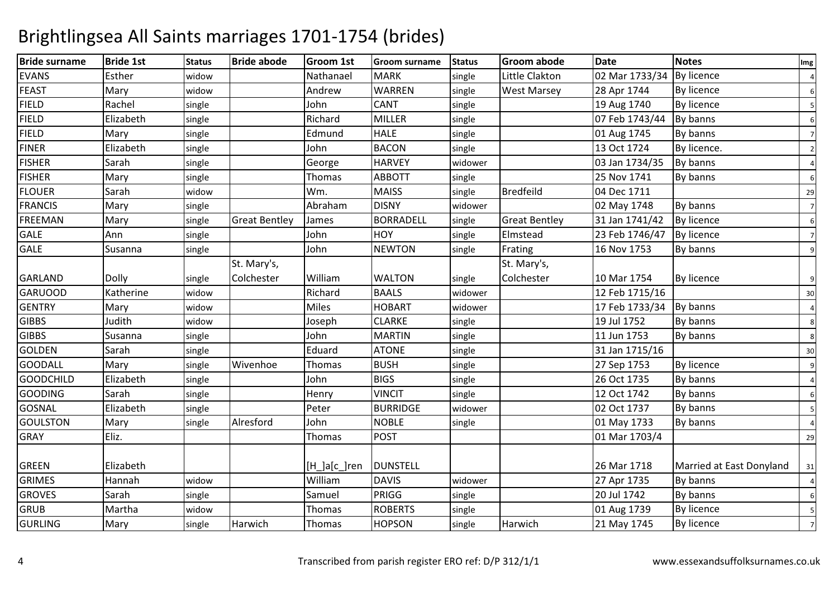| <b>Bride surname</b> | <b>Bride 1st</b> | <b>Status</b> | <b>Bride abode</b>   | Groom 1st    | <b>Groom surname</b> | <b>Status</b> | <b>Groom abode</b>   | <b>Date</b>               | <b>Notes</b>             | Img            |
|----------------------|------------------|---------------|----------------------|--------------|----------------------|---------------|----------------------|---------------------------|--------------------------|----------------|
| <b>EVANS</b>         | Esther           | widow         |                      | Nathanael    | <b>MARK</b>          | single        | Little Clakton       | 02 Mar 1733/34 By licence |                          |                |
| <b>FEAST</b>         | Mary             | widow         |                      | Andrew       | <b>WARREN</b>        | single        | <b>West Marsey</b>   | 28 Apr 1744               | <b>By licence</b>        | 6              |
| <b>FIELD</b>         | Rachel           | single        |                      | John         | <b>CANT</b>          | single        |                      | 19 Aug 1740               | By licence               |                |
| <b>FIELD</b>         | Elizabeth        | single        |                      | Richard      | <b>MILLER</b>        | single        |                      | 07 Feb 1743/44            | By banns                 | 6              |
| <b>FIELD</b>         | Mary             | single        |                      | Edmund       | <b>HALE</b>          | single        |                      | 01 Aug 1745               | By banns                 | $\overline{7}$ |
| <b>FINER</b>         | Elizabeth        | single        |                      | John         | <b>BACON</b>         | single        |                      | 13 Oct 1724               | By licence.              | 2              |
| <b>FISHER</b>        | Sarah            | single        |                      | George       | <b>HARVEY</b>        | widower       |                      | 03 Jan 1734/35            | By banns                 |                |
| <b>FISHER</b>        | Mary             | single        |                      | Thomas       | <b>ABBOTT</b>        | single        |                      | 25 Nov 1741               | By banns                 | 6              |
| <b>FLOUER</b>        | Sarah            | widow         |                      | Wm.          | <b>MAISS</b>         | single        | <b>Bredfeild</b>     | 04 Dec 1711               |                          | 29             |
| <b>FRANCIS</b>       | Mary             | single        |                      | Abraham      | <b>DISNY</b>         | widower       |                      | 02 May 1748               | By banns                 | $\overline{7}$ |
| <b>FREEMAN</b>       | Mary             | single        | <b>Great Bentley</b> | James        | <b>BORRADELL</b>     | single        | <b>Great Bentley</b> | 31 Jan 1741/42            | <b>By licence</b>        | 6              |
| <b>GALE</b>          | Ann              | single        |                      | John         | HOY                  | single        | Elmstead             | 23 Feb 1746/47            | <b>By licence</b>        | $\overline{7}$ |
| <b>GALE</b>          | Susanna          | single        |                      | John         | <b>NEWTON</b>        | single        | Frating              | 16 Nov 1753               | By banns                 | 9              |
|                      |                  |               | St. Mary's,          |              |                      |               | St. Mary's,          |                           |                          |                |
| <b>GARLAND</b>       | Dolly            | single        | Colchester           | William      | <b>WALTON</b>        | single        | Colchester           | 10 Mar 1754               | <b>By licence</b>        | 9              |
| <b>GARUOOD</b>       | Katherine        | widow         |                      | Richard      | <b>BAALS</b>         | widower       |                      | 12 Feb 1715/16            |                          | 30             |
| <b>GENTRY</b>        | Mary             | widow         |                      | <b>Miles</b> | <b>HOBART</b>        | widower       |                      | 17 Feb 1733/34            | By banns                 |                |
| <b>GIBBS</b>         | Judith           | widow         |                      | Joseph       | <b>CLARKE</b>        | single        |                      | 19 Jul 1752               | By banns                 | 8              |
| <b>GIBBS</b>         | Susanna          | single        |                      | John         | <b>MARTIN</b>        | single        |                      | 11 Jun 1753               | By banns                 | 8              |
| <b>GOLDEN</b>        | Sarah            | single        |                      | Eduard       | <b>ATONE</b>         | single        |                      | 31 Jan 1715/16            |                          | 30             |
| <b>GOODALL</b>       | Mary             | single        | Wivenhoe             | Thomas       | <b>BUSH</b>          | single        |                      | 27 Sep 1753               | <b>By licence</b>        | 9              |
| <b>GOODCHILD</b>     | Elizabeth        | single        |                      | John         | <b>BIGS</b>          | single        |                      | 26 Oct 1735               | By banns                 |                |
| <b>GOODING</b>       | Sarah            | single        |                      | Henry        | <b>VINCIT</b>        | single        |                      | 12 Oct 1742               | By banns                 | 6              |
| <b>GOSNAL</b>        | Elizabeth        | single        |                      | Peter        | <b>BURRIDGE</b>      | widower       |                      | 02 Oct 1737               | By banns                 | 5              |
| <b>GOULSTON</b>      | Mary             | single        | Alresford            | John         | <b>NOBLE</b>         | single        |                      | 01 May 1733               | By banns                 |                |
| <b>GRAY</b>          | Eliz.            |               |                      | Thomas       | <b>POST</b>          |               |                      | 01 Mar 1703/4             |                          | 29             |
| <b>GREEN</b>         | Elizabeth        |               |                      | [H_]a[c_]ren | <b>DUNSTELL</b>      |               |                      | 26 Mar 1718               | Married at East Donyland | 31             |
| <b>GRIMES</b>        | Hannah           | widow         |                      | William      | <b>DAVIS</b>         | widower       |                      | 27 Apr 1735               | By banns                 |                |
| <b>GROVES</b>        | Sarah            | single        |                      | Samuel       | PRIGG                | single        |                      | 20 Jul 1742               | By banns                 | 6              |
| <b>GRUB</b>          | Martha           | widow         |                      | Thomas       | <b>ROBERTS</b>       | single        |                      | 01 Aug 1739               | <b>By licence</b>        | 5              |
| <b>GURLING</b>       | Mary             | single        | Harwich              | Thomas       | <b>HOPSON</b>        | single        | Harwich              | 21 May 1745               | By licence               |                |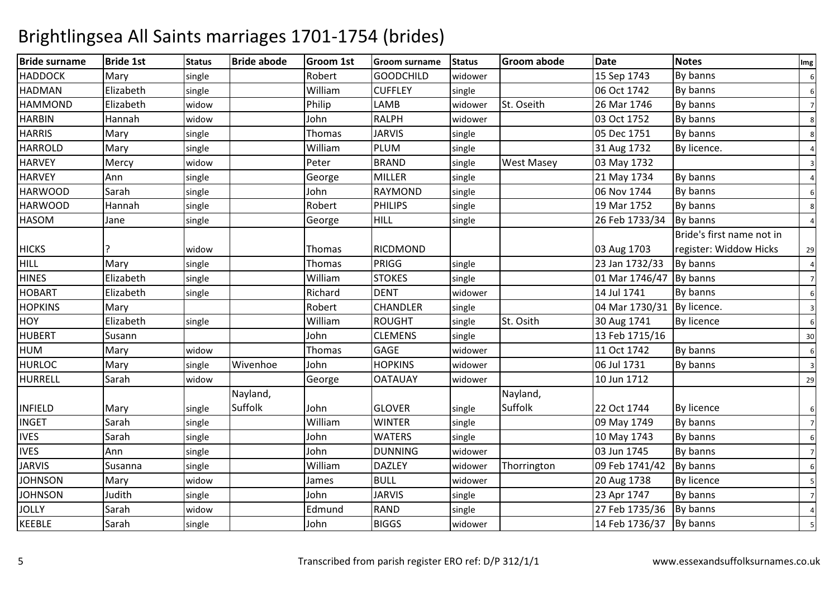| <b>Bride surname</b> | <b>Bride 1st</b> | <b>Status</b> | <b>Bride abode</b> | <b>Groom 1st</b> | <b>Groom surname</b> | <b>Status</b> | <b>Groom abode</b> | <b>Date</b>                | <b>Notes</b>              | Img                     |
|----------------------|------------------|---------------|--------------------|------------------|----------------------|---------------|--------------------|----------------------------|---------------------------|-------------------------|
| <b>HADDOCK</b>       | Mary             | single        |                    | Robert           | <b>GOODCHILD</b>     | widower       |                    | 15 Sep 1743                | By banns                  | 6                       |
| <b>HADMAN</b>        | Elizabeth        | single        |                    | William          | <b>CUFFLEY</b>       | single        |                    | 06 Oct 1742                | By banns                  | 6                       |
| <b>HAMMOND</b>       | Elizabeth        | widow         |                    | Philip           | LAMB                 | widower       | St. Oseith         | 26 Mar 1746                | By banns                  | $\overline{7}$          |
| <b>HARBIN</b>        | Hannah           | widow         |                    | John             | <b>RALPH</b>         | widower       |                    | 03 Oct 1752                | By banns                  | 8                       |
| <b>HARRIS</b>        | Mary             | single        |                    | Thomas           | <b>JARVIS</b>        | single        |                    | 05 Dec 1751                | By banns                  | 8                       |
| <b>HARROLD</b>       | Mary             | single        |                    | William          | <b>PLUM</b>          | single        |                    | 31 Aug 1732                | By licence.               |                         |
| <b>HARVEY</b>        | Mercy            | widow         |                    | Peter            | <b>BRAND</b>         | single        | <b>West Masey</b>  | 03 May 1732                |                           | $\overline{3}$          |
| <b>HARVEY</b>        | Ann              | single        |                    | George           | <b>MILLER</b>        | single        |                    | 21 May 1734                | By banns                  |                         |
| <b>HARWOOD</b>       | Sarah            | single        |                    | John             | RAYMOND              | single        |                    | 06 Nov 1744                | By banns                  | 6                       |
| <b>HARWOOD</b>       | Hannah           | single        |                    | Robert           | <b>PHILIPS</b>       | single        |                    | 19 Mar 1752                | By banns                  | 8                       |
| <b>HASOM</b>         | Jane             | single        |                    | George           | <b>HILL</b>          | single        |                    | 26 Feb 1733/34             | By banns                  |                         |
|                      |                  |               |                    |                  |                      |               |                    |                            | Bride's first name not in |                         |
| <b>HICKS</b>         |                  | widow         |                    | Thomas           | RICDMOND             |               |                    | 03 Aug 1703                | register: Widdow Hicks    | 29                      |
| <b>HILL</b>          | Mary             | single        |                    | Thomas           | PRIGG                | single        |                    | 23 Jan 1732/33             | By banns                  | $\overline{4}$          |
| <b>HINES</b>         | Elizabeth        | single        |                    | William          | <b>STOKES</b>        | single        |                    | 01 Mar 1746/47             | By banns                  | $\overline{7}$          |
| <b>HOBART</b>        | Elizabeth        | single        |                    | Richard          | <b>DENT</b>          | widower       |                    | 14 Jul 1741                | By banns                  | 6                       |
| <b>HOPKINS</b>       | Mary             |               |                    | Robert           | <b>CHANDLER</b>      | single        |                    | 04 Mar 1730/31 By licence. |                           | $\overline{3}$          |
| HOY                  | Elizabeth        | single        |                    | William          | <b>ROUGHT</b>        | single        | St. Osith          | 30 Aug 1741                | By licence                | 6                       |
| <b>HUBERT</b>        | Susann           |               |                    | John             | <b>CLEMENS</b>       | single        |                    | 13 Feb 1715/16             |                           | 30                      |
| <b>HUM</b>           | Mary             | widow         |                    | Thomas           | <b>GAGE</b>          | widower       |                    | 11 Oct 1742                | By banns                  | 6                       |
| <b>HURLOC</b>        | Mary             | single        | Wivenhoe           | John             | <b>HOPKINS</b>       | widower       |                    | 06 Jul 1731                | By banns                  | $\overline{\mathbf{3}}$ |
| <b>HURRELL</b>       | Sarah            | widow         |                    | George           | <b>OATAUAY</b>       | widower       |                    | 10 Jun 1712                |                           | 29                      |
|                      |                  |               | Nayland,           |                  |                      |               | Nayland,           |                            |                           |                         |
| <b>INFIELD</b>       | Mary             | single        | Suffolk            | John             | <b>GLOVER</b>        | single        | Suffolk            | 22 Oct 1744                | <b>By licence</b>         | 6                       |
| <b>INGET</b>         | Sarah            | single        |                    | William          | <b>WINTER</b>        | single        |                    | 09 May 1749                | By banns                  | $7\overline{ }$         |
| <b>IVES</b>          | Sarah            | single        |                    | John             | <b>WATERS</b>        | single        |                    | 10 May 1743                | By banns                  | 6                       |
| <b>IVES</b>          | Ann              | single        |                    | John             | <b>DUNNING</b>       | widower       |                    | 03 Jun 1745                | By banns                  | 7                       |
| <b>JARVIS</b>        | Susanna          | single        |                    | William          | <b>DAZLEY</b>        | widower       | Thorrington        | 09 Feb 1741/42             | By banns                  | 6                       |
| <b>JOHNSON</b>       | Mary             | widow         |                    | James            | <b>BULL</b>          | widower       |                    | 20 Aug 1738                | <b>By licence</b>         | -51                     |
| <b>JOHNSON</b>       | Judith           | single        |                    | John             | <b>JARVIS</b>        | single        |                    | 23 Apr 1747                | By banns                  | $7\overline{ }$         |
| <b>JOLLY</b>         | Sarah            | widow         |                    | Edmund           | <b>RAND</b>          | single        |                    | 27 Feb 1735/36             | By banns                  |                         |
| <b>KEEBLE</b>        | Sarah            | single        |                    | John             | <b>BIGGS</b>         | widower       |                    | 14 Feb 1736/37             | By banns                  |                         |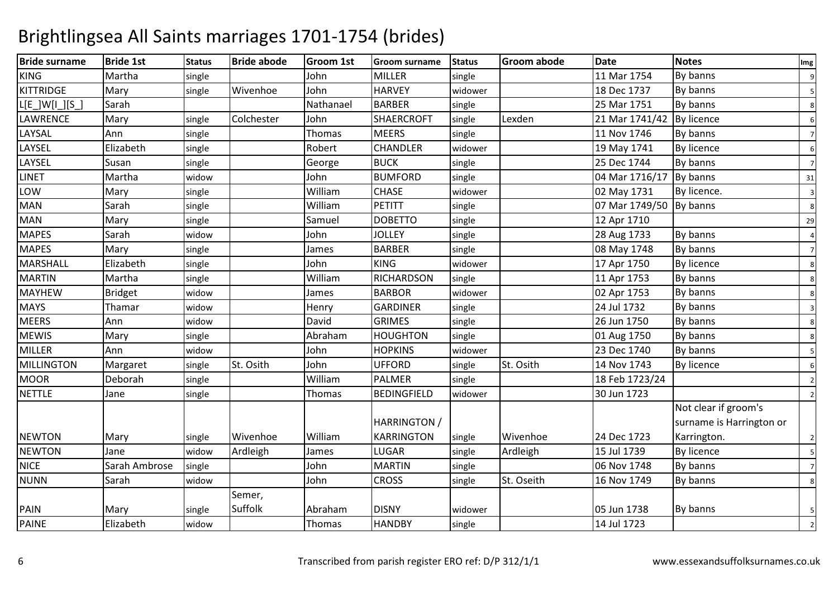### Bride surname Bride 1st Status Bride abode Groom 1st Groom surname Status Groom abode Date Notes Img KINGG Martha single John MILLER single 11 Mar 1754 By banns 9 KITTRIDGEMary single Wivenhoe Johnn HARVEY widower 18 Dec 1737 By banns 5  $L[E$  ]W[I\_][S<sup>-1</sup> Sarah Nathanael BARBERR single 25 Mar 1751 By banns 8 LAWRENCEMary single Colchester John SHAERCROFT single Lexden 21 Mar 1741/42 By licence 6<br>MEERS single 1 11 Nov 1746 By banns LAYSAL Annn 11 Nov 1746 By banns Thomas MEERS single 11 Nov 1746 By banns 7 LAYSEL Elizabethh single Robert CHANDLER R widower 19 May 1741 By licence 6 LAYSEL Susann single George BUCK single 25 Dec 1744 By banns 7 LINETMartha widow<br>Marv single w John BUMFORD single 04 Mar 1716/17 By banns 31 LOWW 1992 Mary Single 1993 William CHASE widower 1992 May 1731 By licence. 3<br>1994 Search Line William DETITE 1. 1 MANN Sarah single William PETITT single 07 Mar 1749/50 By banns <sup>8</sup> MANN Mary single Samuel DOBETTO 0 single 12 Apr 1710 29 **MAPES**  SarahSarah widow<br>Mary single w John JOLLEY single 28 Aug 1733 By banns 4 **MAPES** S Mary single James BARBER R single 08 May 1748 By banns 7 **MARSHALL**  Elizabethh single John KING G Widower 17 Apr 1750 By licence MARTINN Martha single William RICHARDSON single 11 Apr 1753 By banns 8 MAYHEWW Bridget widow James BARBOR widower 02 Apr 1753 By banns 8<br>Themes widow James GARDINER widower 024 W1773 By banns 8 MAYS Thamar widoww Henry GARDINER single 24 Jul 1732 By banns 3 **MEERS**  Ann widoww David GRIMES single 26 Jun 1750 By banns 8 **MEWIS** S Mary single Abraham m HOUGHTON single 01 Aug 1750 By banns 8 MILLERR Ann widow w John HOPKINS widower 23 Dec 1740 By banns 5 MILLINGTONN Margaret single St. Osith John UFFORD single St. Osith 14 Nov 1743 By licence 6 **MOOR** R Deborah single William m PALMER single 18 Feb 1723/24 2<br>
2011 - PALMER Single 18 Feb 1723/24 NETTLE Janesingle | Thomas BEDINGFIELD D | widower | 30 Jun 1723 | 2 NEWTON **Mary**  single Wivenhoe WilliamJames HARRINGTON / **KARRINGTON** single Wivenhoe 24 Dec 1723<br>single Ardleigh 15 Jul 1739 Not clear if groom's surname is Harrington or Karrington. $\sim$  2 **NEWTON** N Jane Widow Ardleigh James LUGAR single Ardleigh 15 Jul 1739 By licence 5 **NICE**  Sarah Ambrosesingle | John MARTINN single 06 Nov 1748 By banns 7 NUNNN Sarah Widow John CROSS single St. Oseith 16 Nov 1749 By banns 8 PAIN Mary single Semer, Suffolk Abraham DISNYwidower | 1990 | 1990 | 1990 | 1990 | 1990 | 1990 | 1990 | 1990 | 1990 | 1990 | 1990 | 1990 | 1990 | 1990 | 19 By banns 5 PAINE Elizabeth widoww | Thomas | HANDBY | single | 14 Jul 1723 | 2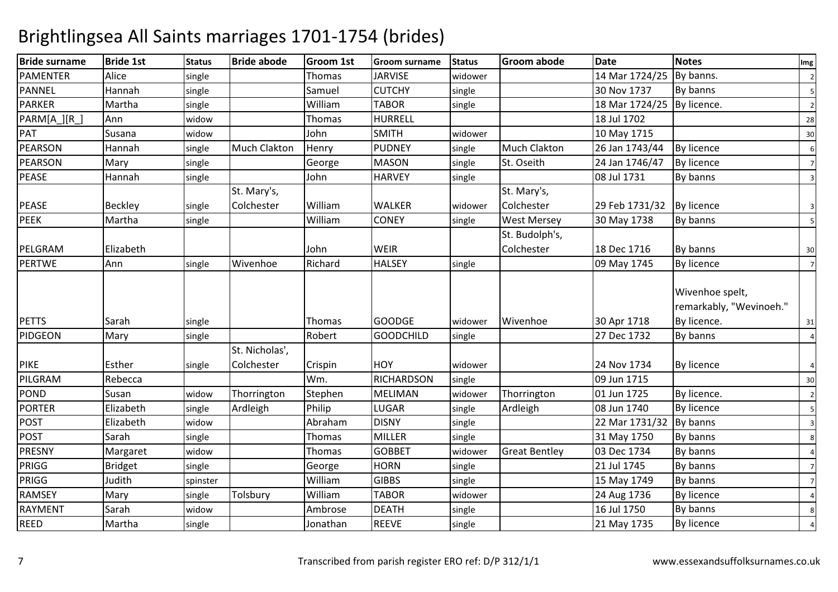| <b>Bride surname</b> | <b>Bride 1st</b> | <b>Status</b> | <b>Bride abode</b>           | Groom 1st | <b>Groom surname</b> | <b>Status</b> | <b>Groom abode</b>   | <b>Date</b>               | <b>Notes</b>                                              | Img                     |
|----------------------|------------------|---------------|------------------------------|-----------|----------------------|---------------|----------------------|---------------------------|-----------------------------------------------------------|-------------------------|
| PAMENTER             | Alice            | single        |                              | Thomas    | <b>JARVISE</b>       | widower       |                      | 14 Mar 1724/25            | By banns.                                                 | $\overline{c}$          |
| <b>PANNEL</b>        | Hannah           | single        |                              | Samuel    | <b>CUTCHY</b>        | single        |                      | 30 Nov 1737               | By banns                                                  | 5                       |
| <b>PARKER</b>        | Martha           | single        |                              | William   | <b>TABOR</b>         | single        |                      | 18 Mar 1724/25            | By licence.                                               | $\overline{2}$          |
| PARM[A_][R_]         | Ann              | widow         |                              | Thomas    | <b>HURRELL</b>       |               |                      | 18 Jul 1702               |                                                           | 28                      |
| PAT                  | Susana           | widow         |                              | John      | <b>SMITH</b>         | widower       |                      | 10 May 1715               |                                                           | 30                      |
| <b>PEARSON</b>       | Hannah           | single        | Much Clakton                 | Henry     | <b>PUDNEY</b>        | single        | <b>Much Clakton</b>  | 26 Jan 1743/44            | <b>By licence</b>                                         | $\boldsymbol{6}$        |
| <b>PEARSON</b>       | Mary             | single        |                              | George    | <b>MASON</b>         | single        | St. Oseith           | 24 Jan 1746/47            | <b>By licence</b>                                         | $\overline{7}$          |
| <b>PEASE</b>         | Hannah           | single        |                              | John      | <b>HARVEY</b>        | single        |                      | 08 Jul 1731               | By banns                                                  | $\overline{3}$          |
|                      |                  |               | St. Mary's,                  |           |                      |               | St. Mary's,          |                           |                                                           |                         |
| <b>PEASE</b>         | <b>Beckley</b>   | single        | Colchester                   | William   | <b>WALKER</b>        | widower       | Colchester           | 29 Feb 1731/32 By licence |                                                           | $\overline{\mathbf{3}}$ |
| <b>PEEK</b>          | Martha           | single        |                              | William   | <b>CONEY</b>         | single        | <b>West Mersey</b>   | 30 May 1738               | By banns                                                  | 5                       |
|                      |                  |               |                              |           |                      |               | St. Budolph's,       |                           |                                                           |                         |
| PELGRAM              | Elizabeth        |               |                              | John      | <b>WEIR</b>          |               | Colchester           | 18 Dec 1716               | By banns                                                  | 30                      |
| <b>PERTWE</b>        | Ann              | single        | Wivenhoe                     | Richard   | <b>HALSEY</b>        | single        |                      | 09 May 1745               | <b>By licence</b>                                         | $\overline{7}$          |
| <b>PETTS</b>         | Sarah            | single        |                              | Thomas    | <b>GOODGE</b>        | widower       | Wivenhoe             | 30 Apr 1718               | Wivenhoe spelt,<br>remarkably, "Wevinoeh."<br>By licence. | 31                      |
| PIDGEON              | Mary             | single        |                              | Robert    | <b>GOODCHILD</b>     | single        |                      | 27 Dec 1732               | By banns                                                  | $\overline{4}$          |
| <b>PIKE</b>          | Esther           | single        | St. Nicholas',<br>Colchester | Crispin   | <b>HOY</b>           | widower       |                      | 24 Nov 1734               | By licence                                                | $\overline{a}$          |
| PILGRAM              | Rebecca          |               |                              | Wm.       | <b>RICHARDSON</b>    | single        |                      | 09 Jun 1715               |                                                           | 30                      |
| <b>POND</b>          | Susan            | widow         | Thorrington                  | Stephen   | <b>MELIMAN</b>       | widower       | Thorrington          | 01 Jun 1725               | By licence.                                               | $\overline{2}$          |
| <b>PORTER</b>        | Elizabeth        | single        | Ardleigh                     | Philip    | <b>LUGAR</b>         | single        | Ardleigh             | 08 Jun 1740               | By licence                                                | 5                       |
| <b>POST</b>          | Elizabeth        | widow         |                              | Abraham   | <b>DISNY</b>         | single        |                      | 22 Mar 1731/32            | By banns                                                  | $\overline{3}$          |
| <b>POST</b>          | Sarah            | single        |                              | Thomas    | <b>MILLER</b>        | single        |                      | 31 May 1750               | By banns                                                  | 8                       |
| <b>PRESNY</b>        | Margaret         | widow         |                              | Thomas    | <b>GOBBET</b>        | widower       | <b>Great Bentley</b> | 03 Dec 1734               | By banns                                                  |                         |
| PRIGG                | <b>Bridget</b>   | single        |                              | George    | <b>HORN</b>          | single        |                      | 21 Jul 1745               | By banns                                                  | $\overline{7}$          |
| PRIGG                | Judith           | spinster      |                              | William   | <b>GIBBS</b>         | single        |                      | 15 May 1749               | By banns                                                  | $\overline{7}$          |
| <b>RAMSEY</b>        | Mary             | single        | Tolsbury                     | William   | <b>TABOR</b>         | widower       |                      | 24 Aug 1736               | <b>By licence</b>                                         | $\overline{4}$          |
| RAYMENT              | Sarah            | widow         |                              | Ambrose   | <b>DEATH</b>         | single        |                      | 16 Jul 1750               | By banns                                                  | 8                       |
| <b>REED</b>          | Martha           | single        |                              | Jonathan  | <b>REEVE</b>         | single        |                      | 21 May 1735               | By licence                                                |                         |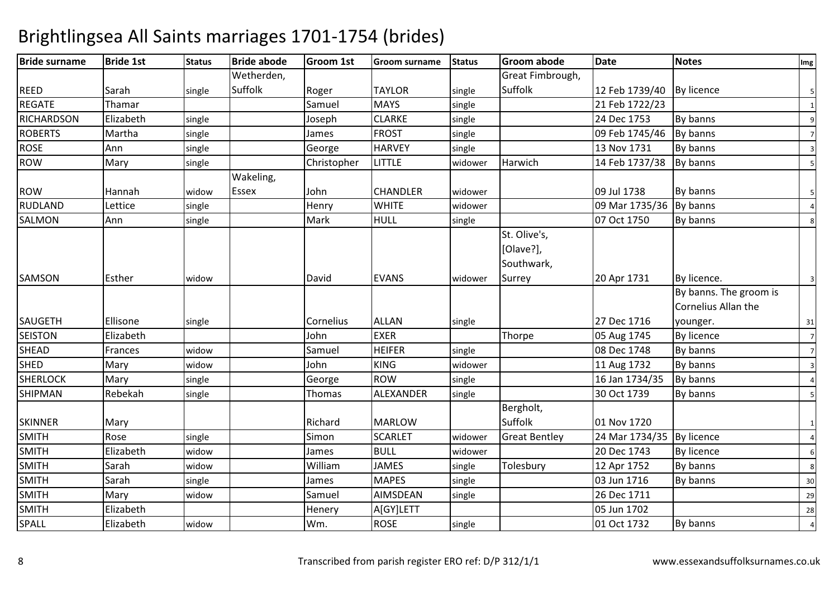| <b>Bride surname</b> | <b>Bride 1st</b> | <b>Status</b> | <b>Bride abode</b> | Groom 1st   | <b>Groom surname</b> | <b>Status</b> | <b>Groom abode</b>                      | <b>Date</b>                 | <b>Notes</b>                                  | Img                     |
|----------------------|------------------|---------------|--------------------|-------------|----------------------|---------------|-----------------------------------------|-----------------------------|-----------------------------------------------|-------------------------|
|                      |                  |               | Wetherden,         |             |                      |               | Great Fimbrough,                        |                             |                                               |                         |
| <b>REED</b>          | Sarah            | single        | Suffolk            | Roger       | <b>TAYLOR</b>        | single        | Suffolk                                 | 12 Feb 1739/40   By licence |                                               | 5                       |
| <b>REGATE</b>        | Thamar           |               |                    | Samuel      | <b>MAYS</b>          | single        |                                         | 21 Feb 1722/23              |                                               | $\mathbf{1}$            |
| <b>RICHARDSON</b>    | Elizabeth        | single        |                    | Joseph      | <b>CLARKE</b>        | single        |                                         | 24 Dec 1753                 | By banns                                      | 9                       |
| <b>ROBERTS</b>       | Martha           | single        |                    | James       | <b>FROST</b>         | single        |                                         | 09 Feb 1745/46              | By banns                                      | $\overline{7}$          |
| ROSE                 | Ann              | single        |                    | George      | <b>HARVEY</b>        | single        |                                         | 13 Nov 1731                 | By banns                                      | $\overline{\mathbf{3}}$ |
| ROW                  | Mary             | single        |                    | Christopher | <b>LITTLE</b>        | widower       | Harwich                                 | 14 Feb 1737/38              | By banns                                      | 5                       |
|                      |                  |               | Wakeling,          |             |                      |               |                                         |                             |                                               |                         |
| <b>ROW</b>           | Hannah           | widow         | <b>Essex</b>       | John        | <b>CHANDLER</b>      | widower       |                                         | 09 Jul 1738                 | By banns                                      | 5                       |
| RUDLAND              | Lettice          | single        |                    | Henry       | <b>WHITE</b>         | widower       |                                         | 09 Mar 1735/36              | By banns                                      |                         |
| SALMON               | Ann              | single        |                    | Mark        | <b>HULL</b>          | single        |                                         | 07 Oct 1750                 | By banns                                      | 8                       |
|                      |                  |               |                    |             |                      |               | St. Olive's,<br>[Olave?],<br>Southwark, |                             |                                               |                         |
| <b>SAMSON</b>        | Esther           | widow         |                    | David       | <b>EVANS</b>         | widower       | Surrey                                  | 20 Apr 1731                 | By licence.                                   | $\overline{3}$          |
|                      |                  |               |                    |             |                      |               |                                         |                             | By banns. The groom is<br>Cornelius Allan the |                         |
| <b>SAUGETH</b>       | Ellisone         | single        |                    | Cornelius   | <b>ALLAN</b>         | single        |                                         | 27 Dec 1716                 | younger.                                      | 31                      |
| <b>SEISTON</b>       | Elizabeth        |               |                    | John        | <b>EXER</b>          |               | Thorpe                                  | 05 Aug 1745                 | <b>By licence</b>                             | $\overline{7}$          |
| <b>SHEAD</b>         | Frances          | widow         |                    | Samuel      | <b>HEIFER</b>        | single        |                                         | 08 Dec 1748                 | By banns                                      | $\overline{7}$          |
| <b>SHED</b>          | Mary             | widow         |                    | John        | <b>KING</b>          | widower       |                                         | 11 Aug 1732                 | By banns                                      | $\overline{\mathbf{3}}$ |
| <b>SHERLOCK</b>      | Mary             | single        |                    | George      | <b>ROW</b>           | single        |                                         | 16 Jan 1734/35              | By banns                                      | $\overline{4}$          |
| <b>SHIPMAN</b>       | Rebekah          | single        |                    | Thomas      | ALEXANDER            | single        |                                         | 30 Oct 1739                 | By banns                                      | 5                       |
| <b>SKINNER</b>       | Mary             |               |                    | Richard     | <b>MARLOW</b>        |               | Bergholt,<br>Suffolk                    | 01 Nov 1720                 |                                               | $\mathbf{1}$            |
| <b>SMITH</b>         | Rose             | single        |                    | Simon       | <b>SCARLET</b>       | widower       | <b>Great Bentley</b>                    | 24 Mar 1734/35 By licence   |                                               |                         |
| <b>SMITH</b>         | Elizabeth        | widow         |                    | James       | <b>BULL</b>          | widower       |                                         | 20 Dec 1743                 | <b>By licence</b>                             | 6                       |
| <b>SMITH</b>         | Sarah            | widow         |                    | William     | <b>JAMES</b>         | single        | Tolesbury                               | 12 Apr 1752                 | By banns                                      | 8                       |
| <b>SMITH</b>         | Sarah            | single        |                    | James       | <b>MAPES</b>         | single        |                                         | 03 Jun 1716                 | By banns                                      | 30                      |
| <b>SMITH</b>         | Mary             | widow         |                    | Samuel      | <b>AIMSDEAN</b>      | single        |                                         | 26 Dec 1711                 |                                               | 29                      |
| <b>SMITH</b>         | Elizabeth        |               |                    | Henery      | A[GY]LETT            |               |                                         | 05 Jun 1702                 |                                               | 28                      |
| SPALL                | Elizabeth        | widow         |                    | Wm.         | <b>ROSE</b>          | single        |                                         | 01 Oct 1732                 | By banns                                      | $\overline{4}$          |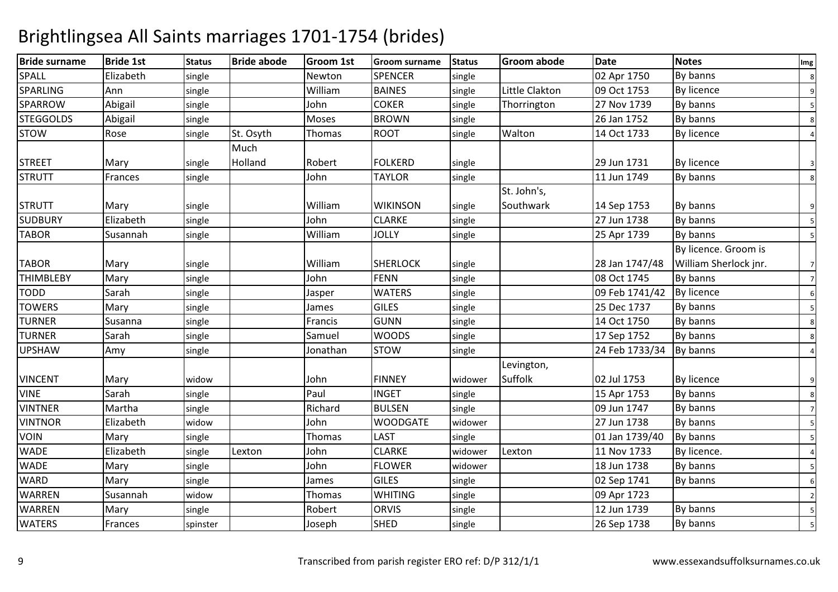| <b>Bride surname</b> | <b>Bride 1st</b> | <b>Status</b> | <b>Bride abode</b> | Groom 1st | <b>Groom surname</b> | <b>Status</b> | <b>Groom abode</b> | <b>Date</b>    | <b>Notes</b>          | Img            |
|----------------------|------------------|---------------|--------------------|-----------|----------------------|---------------|--------------------|----------------|-----------------------|----------------|
| SPALL                | Elizabeth        | single        |                    | Newton    | <b>SPENCER</b>       | single        |                    | 02 Apr 1750    | By banns              | 8              |
| SPARLING             | Ann              | single        |                    | William   | <b>BAINES</b>        | single        | Little Clakton     | 09 Oct 1753    | <b>By licence</b>     | 9              |
| SPARROW              | Abigail          | single        |                    | John      | <b>COKER</b>         | single        | Thorrington        | 27 Nov 1739    | By banns              | 5              |
| <b>STEGGOLDS</b>     | Abigail          | single        |                    | Moses     | <b>BROWN</b>         | single        |                    | 26 Jan 1752    | By banns              | 8              |
| <b>STOW</b>          | Rose             | single        | St. Osyth          | Thomas    | <b>ROOT</b>          | single        | Walton             | 14 Oct 1733    | By licence            |                |
|                      |                  |               | Much               |           |                      |               |                    |                |                       |                |
| <b>STREET</b>        | Mary             | single        | Holland            | Robert    | <b>FOLKERD</b>       | single        |                    | 29 Jun 1731    | <b>By licence</b>     | $\overline{3}$ |
| <b>STRUTT</b>        | Frances          | single        |                    | John      | <b>TAYLOR</b>        | single        |                    | 11 Jun 1749    | By banns              | 8              |
|                      |                  |               |                    |           |                      |               | St. John's,        |                |                       |                |
| <b>STRUTT</b>        | Mary             | single        |                    | William   | <b>WIKINSON</b>      | single        | Southwark          | 14 Sep 1753    | By banns              | 9              |
| <b>SUDBURY</b>       | Elizabeth        | single        |                    | John      | <b>CLARKE</b>        | single        |                    | 27 Jun 1738    | By banns              | -51            |
| <b>TABOR</b>         | Susannah         | single        |                    | William   | <b>JOLLY</b>         | single        |                    | 25 Apr 1739    | By banns              | 5              |
|                      |                  |               |                    |           |                      |               |                    |                | By licence. Groom is  |                |
| <b>TABOR</b>         | Mary             | single        |                    | William   | <b>SHERLOCK</b>      | single        |                    | 28 Jan 1747/48 | William Sherlock jnr. | $\overline{7}$ |
| <b>THIMBLEBY</b>     | Mary             | single        |                    | John      | FENN                 | single        |                    | 08 Oct 1745    | By banns              | $\overline{7}$ |
| <b>TODD</b>          | Sarah            | single        |                    | Jasper    | <b>WATERS</b>        | single        |                    | 09 Feb 1741/42 | <b>By licence</b>     | 6              |
| <b>TOWERS</b>        | Mary             | single        |                    | James     | <b>GILES</b>         | single        |                    | 25 Dec 1737    | By banns              | 5              |
| <b>TURNER</b>        | Susanna          | single        |                    | Francis   | <b>GUNN</b>          | single        |                    | 14 Oct 1750    | By banns              | 8              |
| <b>TURNER</b>        | Sarah            | single        |                    | Samuel    | <b>WOODS</b>         | single        |                    | 17 Sep 1752    | By banns              | 8              |
| <b>UPSHAW</b>        | Amy              | single        |                    | Jonathan  | <b>STOW</b>          | single        |                    | 24 Feb 1733/34 | By banns              |                |
|                      |                  |               |                    |           |                      |               | Levington,         |                |                       |                |
| <b>VINCENT</b>       | Mary             | widow         |                    | John      | <b>FINNEY</b>        | widower       | Suffolk            | 02 Jul 1753    | <b>By licence</b>     | 9              |
| <b>VINE</b>          | Sarah            | single        |                    | Paul      | <b>INGET</b>         | single        |                    | 15 Apr 1753    | By banns              | 8              |
| <b>VINTNER</b>       | Martha           | single        |                    | Richard   | <b>BULSEN</b>        | single        |                    | 09 Jun 1747    | By banns              | $\overline{7}$ |
| <b>VINTNOR</b>       | Elizabeth        | widow         |                    | John      | <b>WOODGATE</b>      | widower       |                    | 27 Jun 1738    | By banns              | 5              |
| <b>VOIN</b>          | Mary             | single        |                    | Thomas    | LAST                 | single        |                    | 01 Jan 1739/40 | By banns              | 5              |
| <b>WADE</b>          | Elizabeth        | single        | Lexton             | John      | <b>CLARKE</b>        | widower       | Lexton             | 11 Nov 1733    | By licence.           |                |
| <b>WADE</b>          | Mary             | single        |                    | John      | <b>FLOWER</b>        | widower       |                    | 18 Jun 1738    | By banns              | 5              |
| <b>WARD</b>          | Mary             | single        |                    | James     | <b>GILES</b>         | single        |                    | 02 Sep 1741    | By banns              | 6              |
| <b>WARREN</b>        | Susannah         | widow         |                    | Thomas    | <b>WHITING</b>       | single        |                    | 09 Apr 1723    |                       | $\overline{2}$ |
| <b>WARREN</b>        | Mary             | single        |                    | Robert    | <b>ORVIS</b>         | single        |                    | 12 Jun 1739    | By banns              | 5              |
| <b>WATERS</b>        | Frances          | spinster      |                    | Joseph    | <b>SHED</b>          | single        |                    | 26 Sep 1738    | By banns              |                |